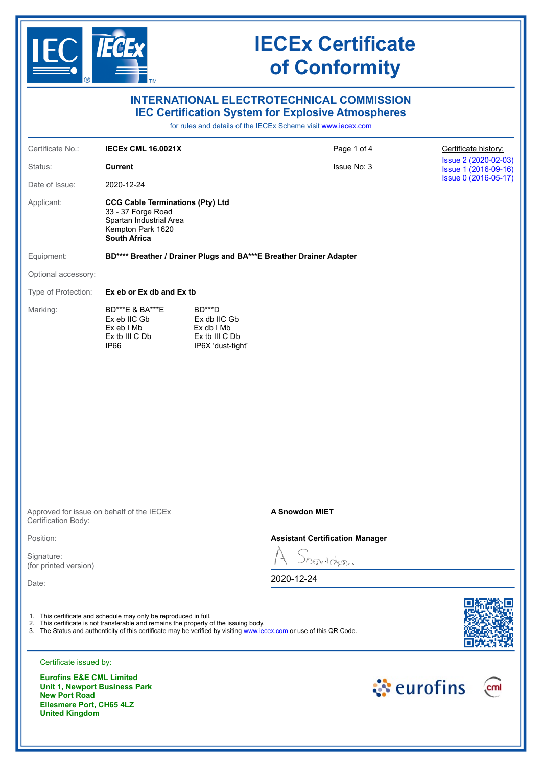

**United Kingdom**

# **IECEx Certificate of Conformity**

| <b>INTERNATIONAL ELECTROTECHNICAL COMMISSION</b><br><b>IEC Certification System for Explosive Atmospheres</b><br>for rules and details of the IECEx Scheme visit www.iecex.com |                                                                                                                                                           |                                                                               |                                                                                                                      |            |                                              |  |
|--------------------------------------------------------------------------------------------------------------------------------------------------------------------------------|-----------------------------------------------------------------------------------------------------------------------------------------------------------|-------------------------------------------------------------------------------|----------------------------------------------------------------------------------------------------------------------|------------|----------------------------------------------|--|
|                                                                                                                                                                                |                                                                                                                                                           |                                                                               |                                                                                                                      |            |                                              |  |
| Certificate No.:                                                                                                                                                               | <b>IECEX CML 16.0021X</b>                                                                                                                                 |                                                                               | Page 1 of 4                                                                                                          |            | Certificate history:                         |  |
| Status:                                                                                                                                                                        | <b>Current</b>                                                                                                                                            |                                                                               | Issue No: 3                                                                                                          |            | Issue 2 (2020-02-03)<br>Issue 1 (2016-09-16) |  |
| Date of Issue:                                                                                                                                                                 | 2020-12-24                                                                                                                                                |                                                                               |                                                                                                                      |            | Issue 0 (2016-05-17)                         |  |
| Applicant:                                                                                                                                                                     | <b>CCG Cable Terminations (Pty) Ltd</b><br>33 - 37 Forge Road<br>Spartan Industrial Area<br>Kempton Park 1620<br><b>South Africa</b>                      |                                                                               |                                                                                                                      |            |                                              |  |
| Equipment:                                                                                                                                                                     | BD**** Breather / Drainer Plugs and BA***E Breather Drainer Adapter                                                                                       |                                                                               |                                                                                                                      |            |                                              |  |
| Optional accessory:                                                                                                                                                            |                                                                                                                                                           |                                                                               |                                                                                                                      |            |                                              |  |
| Type of Protection:                                                                                                                                                            |                                                                                                                                                           | Ex eb or Ex db and Ex tb                                                      |                                                                                                                      |            |                                              |  |
| Marking:                                                                                                                                                                       | BD***E & BA***E<br>Ex eb IIC Gb<br>Ex eb I Mb<br>Ex tb III C Db<br>IP66                                                                                   | BD***D<br>Ex db IIC Gb<br>$Ex db$ I Mb<br>Ex tb III C Db<br>IP6X 'dust-tight' |                                                                                                                      |            |                                              |  |
|                                                                                                                                                                                |                                                                                                                                                           |                                                                               |                                                                                                                      |            |                                              |  |
| Certification Body:                                                                                                                                                            | Approved for issue on behalf of the IECEx                                                                                                                 |                                                                               | <b>A Snowdon MIET</b>                                                                                                |            |                                              |  |
| Position:                                                                                                                                                                      |                                                                                                                                                           | <b>Assistant Certification Manager</b>                                        |                                                                                                                      |            |                                              |  |
| Signature:<br>(for printed version)                                                                                                                                            |                                                                                                                                                           |                                                                               | Showdon                                                                                                              |            |                                              |  |
| Date:                                                                                                                                                                          |                                                                                                                                                           |                                                                               | 2020-12-24                                                                                                           |            |                                              |  |
| Certificate issued by:                                                                                                                                                         | 1. This certificate and schedule may only be reproduced in full.<br>2. This certificate is not transferable and remains the property of the issuing body. |                                                                               | 3. The Status and authenticity of this certificate may be verified by visiting www.iecex.com or use of this QR Code. |            |                                              |  |
| <b>Eurofins E&amp;E CML Limited</b><br>Unit 1, Newport Business Park<br><b>New Port Road</b><br>Ellesmere Port, CH65 4LZ                                                       |                                                                                                                                                           |                                                                               |                                                                                                                      | ं eurofins | cml                                          |  |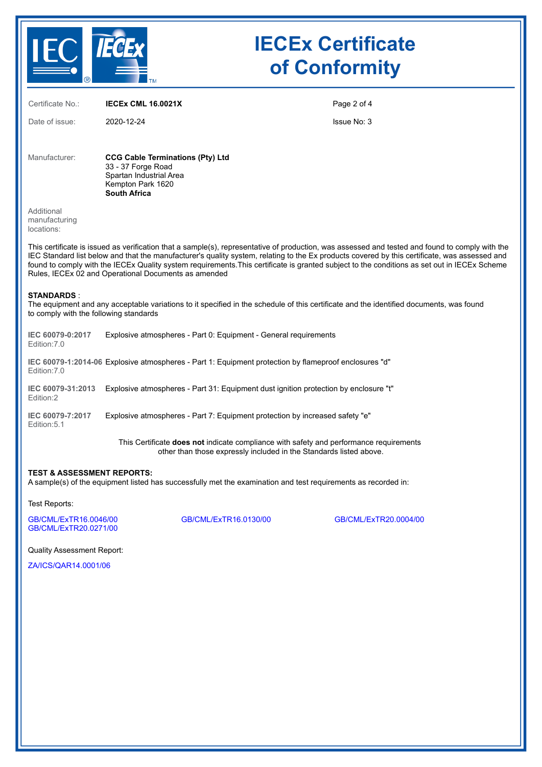

# **IECEx Certificate of Conformity**

| Certificate No.:                                                                                                                                                                                                                                                                                                                                                                                                                                                                                         | <b>IECEX CML 16.0021X</b>                                                                                                                                    | Page 2 of 4        |  |  |
|----------------------------------------------------------------------------------------------------------------------------------------------------------------------------------------------------------------------------------------------------------------------------------------------------------------------------------------------------------------------------------------------------------------------------------------------------------------------------------------------------------|--------------------------------------------------------------------------------------------------------------------------------------------------------------|--------------------|--|--|
| Date of issue:                                                                                                                                                                                                                                                                                                                                                                                                                                                                                           | 2020-12-24                                                                                                                                                   | <b>Issue No: 3</b> |  |  |
|                                                                                                                                                                                                                                                                                                                                                                                                                                                                                                          |                                                                                                                                                              |                    |  |  |
| Manufacturer:                                                                                                                                                                                                                                                                                                                                                                                                                                                                                            | <b>CCG Cable Terminations (Pty) Ltd</b><br>33 - 37 Forge Road<br>Spartan Industrial Area<br>Kempton Park 1620<br><b>South Africa</b>                         |                    |  |  |
| Additional<br>manufacturing<br>locations:                                                                                                                                                                                                                                                                                                                                                                                                                                                                |                                                                                                                                                              |                    |  |  |
| This certificate is issued as verification that a sample(s), representative of production, was assessed and tested and found to comply with the<br>IEC Standard list below and that the manufacturer's quality system, relating to the Ex products covered by this certificate, was assessed and<br>found to comply with the IECEx Quality system requirements. This certificate is granted subject to the conditions as set out in IECEx Scheme<br>Rules, IECEx 02 and Operational Documents as amended |                                                                                                                                                              |                    |  |  |
| <b>STANDARDS:</b><br>to comply with the following standards                                                                                                                                                                                                                                                                                                                                                                                                                                              | The equipment and any acceptable variations to it specified in the schedule of this certificate and the identified documents, was found                      |                    |  |  |
| IEC 60079-0:2017<br>Edition: 7.0                                                                                                                                                                                                                                                                                                                                                                                                                                                                         | Explosive atmospheres - Part 0: Equipment - General requirements                                                                                             |                    |  |  |
| Edition: 7.0                                                                                                                                                                                                                                                                                                                                                                                                                                                                                             | IEC 60079-1:2014-06 Explosive atmospheres - Part 1: Equipment protection by flameproof enclosures "d"                                                        |                    |  |  |
| IEC 60079-31:2013<br>Edition:2                                                                                                                                                                                                                                                                                                                                                                                                                                                                           | Explosive atmospheres - Part 31: Equipment dust ignition protection by enclosure "t"                                                                         |                    |  |  |
| IEC 60079-7:2017<br>Edition: 5.1                                                                                                                                                                                                                                                                                                                                                                                                                                                                         | Explosive atmospheres - Part 7: Equipment protection by increased safety "e"                                                                                 |                    |  |  |
|                                                                                                                                                                                                                                                                                                                                                                                                                                                                                                          | This Certificate does not indicate compliance with safety and performance requirements<br>other than those expressly included in the Standards listed above. |                    |  |  |
| <b>TEST &amp; ASSESSMENT REPORTS:</b><br>A sample(s) of the equipment listed has successfully met the examination and test requirements as recorded in:                                                                                                                                                                                                                                                                                                                                                  |                                                                                                                                                              |                    |  |  |
| Test Reports:                                                                                                                                                                                                                                                                                                                                                                                                                                                                                            |                                                                                                                                                              |                    |  |  |

[GB/CML/ExTR16.0046/00](https://www.iecex-certs.com/deliverables/REPORT/20793/view) [GB/CML/ExTR16.0130/00](https://www.iecex-certs.com/deliverables/REPORT/20771/view) [GB/CML/ExTR20.0004/00](https://www.iecex-certs.com/deliverables/REPORT/62930/view) [GB/CML/ExTR20.0271/00](https://www.iecex-certs.com/deliverables/REPORT/70410/view)

Quality Assessment Report:

[ZA/ICS/QAR14.0001/06](https://www.iecex-certs.com/deliverables/REPORT/69011/view)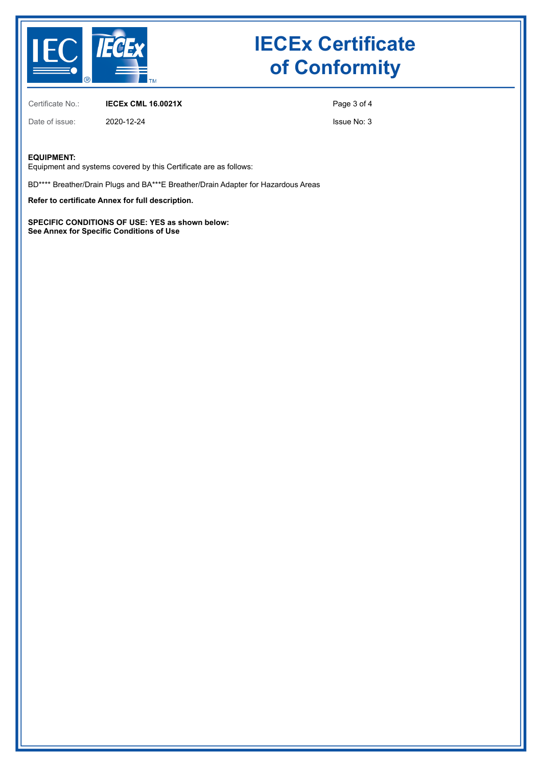

# **IECEx Certificate of Conformity**

Certificate No.: **IECEx CML 16.0021X**

Date of issue: 2020-12-24

Issue No: 3

Page 3 of 4

#### **EQUIPMENT:**

Equipment and systems covered by this Certificate are as follows:

BD\*\*\*\* Breather/Drain Plugs and BA\*\*\*E Breather/Drain Adapter for Hazardous Areas

**Refer to certificate Annex for full description.**

**SPECIFIC CONDITIONS OF USE: YES as shown below: See Annex for Specific Conditions of Use**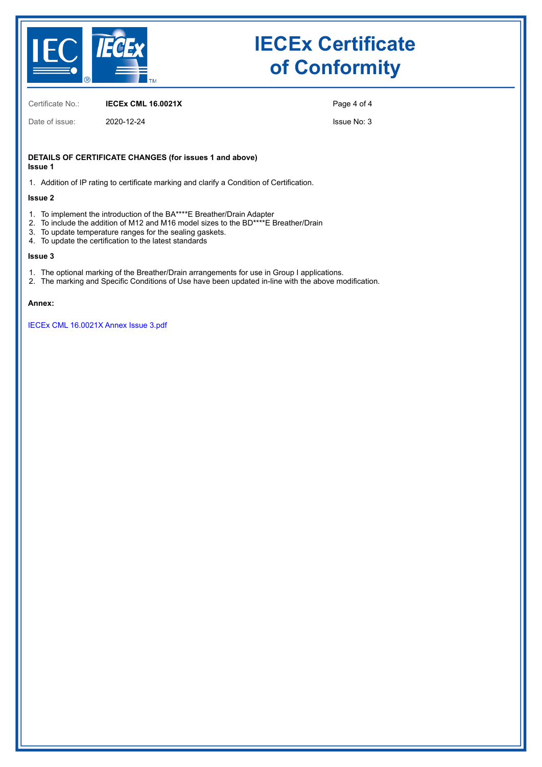

# **IECEx Certificate of Conformity**

Certificate No.: **IECEx CML 16.0021X**

Date of issue: 2020-12-24

Page 4 of 4

Issue No: 3

#### **DETAILS OF CERTIFICATE CHANGES (for issues 1 and above) Issue 1**

1. Addition of IP rating to certificate marking and clarify a Condition of Certification.

#### **Issue 2**

- 1. To implement the introduction of the BA\*\*\*\*E Breather/Drain Adapter
- 2. To include the addition of M12 and M16 model sizes to the BD\*\*\*\*E Breather/Drain
- 3. To update temperature ranges for the sealing gaskets.
- 4. To update the certification to the latest standards

#### **Issue 3**

- 1. The optional marking of the Breather/Drain arrangements for use in Group I applications.
- 2. The marking and Specific Conditions of Use have been updated in-line with the above modification.

#### **Annex:**

[IECEx CML 16.0021X Annex Issue 3.pdf](https://www.iecex-certs.com/deliverables/CERT/51791/view)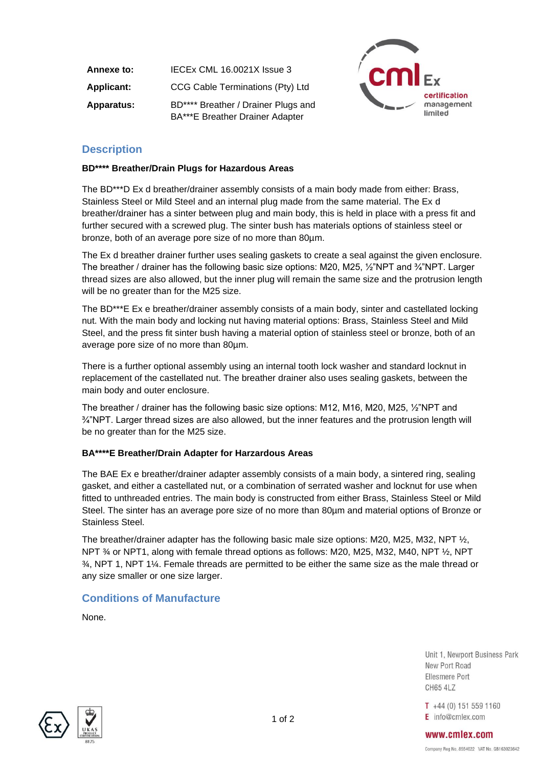**Annexe to:** IECEx CML 16.0021X Issue 3 **Applicant:** CCG Cable Terminations (Pty) Ltd **Apparatus:** BD\*\*\*\* Breather / Drainer Plugs and BA\*\*\*E Breather Drainer Adapter



## **Description**

### **BD\*\*\*\* Breather/Drain Plugs for Hazardous Areas**

The BD\*\*\*D Ex d breather/drainer assembly consists of a main body made from either: Brass, Stainless Steel or Mild Steel and an internal plug made from the same material. The Ex d breather/drainer has a sinter between plug and main body, this is held in place with a press fit and further secured with a screwed plug. The sinter bush has materials options of stainless steel or bronze, both of an average pore size of no more than 80µm.

The Ex d breather drainer further uses sealing gaskets to create a seal against the given enclosure. The breather / drainer has the following basic size options: M20, M25, ½"NPT and ¾"NPT. Larger thread sizes are also allowed, but the inner plug will remain the same size and the protrusion length will be no greater than for the M25 size.

The BD\*\*\*E Ex e breather/drainer assembly consists of a main body, sinter and castellated locking nut. With the main body and locking nut having material options: Brass, Stainless Steel and Mild Steel, and the press fit sinter bush having a material option of stainless steel or bronze, both of an average pore size of no more than 80µm.

There is a further optional assembly using an internal tooth lock washer and standard locknut in replacement of the castellated nut. The breather drainer also uses sealing gaskets, between the main body and outer enclosure.

The breather / drainer has the following basic size options: M12, M16, M20, M25, ½"NPT and  $\frac{3}{4}$ "NPT. Larger thread sizes are also allowed, but the inner features and the protrusion length will be no greater than for the M25 size.

### **BA\*\*\*\*E Breather/Drain Adapter for Harzardous Areas**

The BAE Ex e breather/drainer adapter assembly consists of a main body, a sintered ring, sealing gasket, and either a castellated nut, or a combination of serrated washer and locknut for use when fitted to unthreaded entries. The main body is constructed from either Brass, Stainless Steel or Mild Steel. The sinter has an average pore size of no more than 80µm and material options of Bronze or Stainless Steel.

The breather/drainer adapter has the following basic male size options: M20, M25, M32, NPT  $\frac{1}{2}$ , NPT % or NPT1, along with female thread options as follows: M20, M25, M32, M40, NPT  $\frac{1}{2}$ , NPT  $\frac{3}{4}$ , NPT 1, NPT 1¼. Female threads are permitted to be either the same size as the male thread or any size smaller or one size larger.

### **Conditions of Manufacture**

None.

Unit 1, Newport Business Park New Port Road Ellesmere Port **CH65 4LZ** 

 $T +44(0) 151 559 1160$ E info@cmlex.com